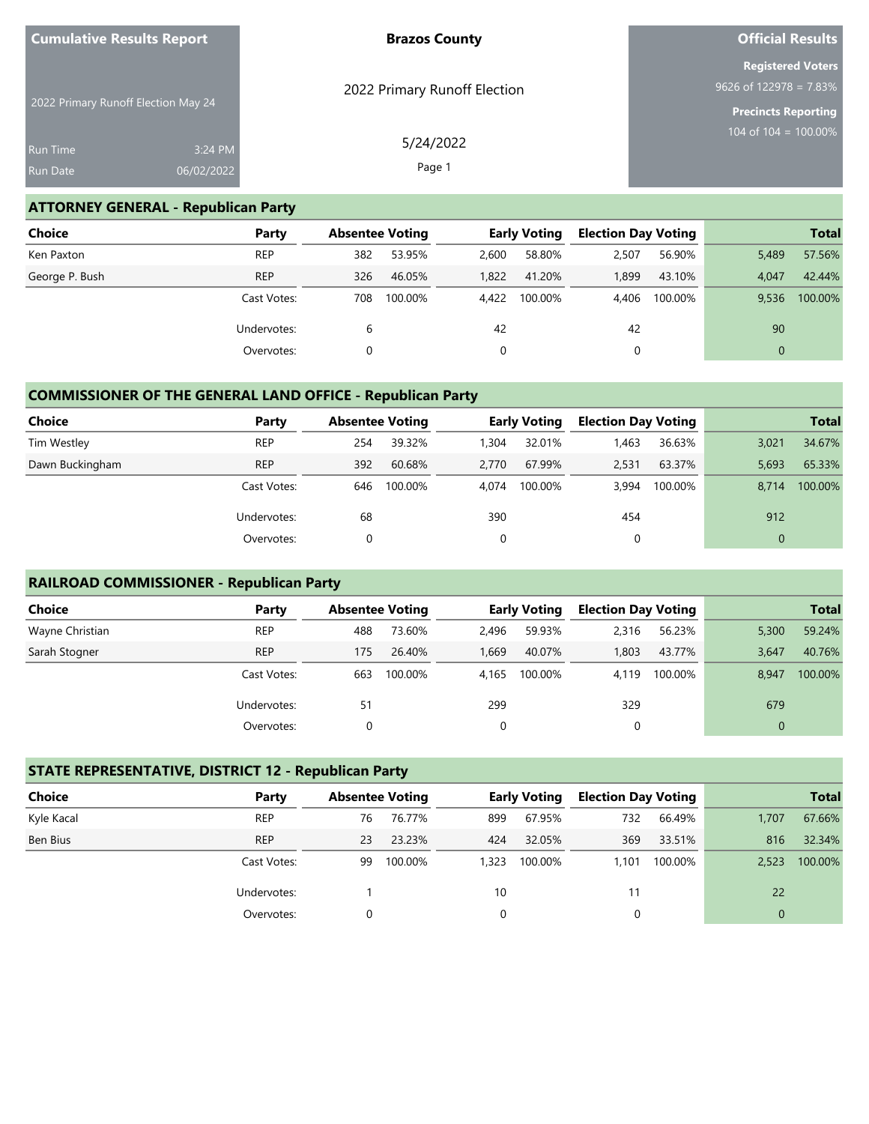| <b>Cumulative Results Report</b>    |                       | <b>Brazos County</b>         | <b>Official Results</b>                                                            |
|-------------------------------------|-----------------------|------------------------------|------------------------------------------------------------------------------------|
| 2022 Primary Runoff Election May 24 |                       | 2022 Primary Runoff Election | <b>Registered Voters</b><br>$9626$ of 122978 = 7.83%<br><b>Precincts Reporting</b> |
| <b>Run Time</b><br><b>Run Date</b>  | 3:24 PM<br>06/02/2022 | 5/24/2022<br>Page 1          | 104 of 104 = $100.00\%$                                                            |

#### **ATTORNEY GENERAL - Republican Party**

| <b>Choice</b>  | Party       | <b>Absentee Voting</b> |         |       | <b>Early Voting</b> | <b>Election Day Voting</b> |         |          | <b>Total</b> |
|----------------|-------------|------------------------|---------|-------|---------------------|----------------------------|---------|----------|--------------|
| Ken Paxton     | <b>REP</b>  | 382                    | 53.95%  | 2,600 | 58.80%              | 2,507                      | 56.90%  | 5,489    | 57.56%       |
| George P. Bush | <b>REP</b>  | 326                    | 46.05%  | 1.822 | 41.20%              | 1.899                      | 43.10%  | 4.047    | 42.44%       |
|                | Cast Votes: | 708                    | 100.00% | 4.422 | 100.00%             | 4.406                      | 100.00% | 9.536    | 100.00%      |
|                | Undervotes: | 6                      |         | 42    |                     | 42                         |         | 90       |              |
|                | Overvotes:  |                        |         |       |                     |                            |         | $\Omega$ |              |

## **COMMISSIONER OF THE GENERAL LAND OFFICE - Republican Party**

| <b>Choice</b>   | Party       | <b>Absentee Voting</b> |         |       | <b>Early Voting</b> | <b>Election Day Voting</b> |         |              | <b>Total</b> |
|-----------------|-------------|------------------------|---------|-------|---------------------|----------------------------|---------|--------------|--------------|
| Tim Westley     | <b>REP</b>  | 254                    | 39.32%  | 1,304 | 32.01%              | 1,463                      | 36.63%  | 3,021        | 34.67%       |
| Dawn Buckingham | <b>REP</b>  | 392                    | 60.68%  | 2.770 | 67.99%              | 2,531                      | 63.37%  | 5,693        | 65.33%       |
|                 | Cast Votes: | 646                    | 100.00% | 4.074 | 100.00%             | 3.994                      | 100.00% | 8.714        | 100.00%      |
|                 | Undervotes: | 68                     |         | 390   |                     | 454                        |         | 912          |              |
|                 | Overvotes:  |                        |         | 0     |                     | 0                          |         | $\mathbf{0}$ |              |

#### **RAILROAD COMMISSIONER - Republican Party**

| Choice          | Party       | <b>Absentee Voting</b> |         |       | <b>Early Voting</b> | <b>Election Day Voting</b> |         |             | <b>Total</b> |
|-----------------|-------------|------------------------|---------|-------|---------------------|----------------------------|---------|-------------|--------------|
| Wayne Christian | <b>REP</b>  | 488                    | 73.60%  | 2,496 | 59.93%              | 2,316                      | 56.23%  | 5,300       | 59.24%       |
| Sarah Stogner   | <b>REP</b>  | 175                    | 26.40%  | 1.669 | 40.07%              | 1,803                      | 43.77%  | 3,647       | 40.76%       |
|                 | Cast Votes: | 663                    | 100.00% | 4.165 | 100.00%             | 4.119                      | 100.00% | 8,947       | 100.00%      |
|                 | Undervotes: | 51                     |         | 299   |                     | 329                        |         | 679         |              |
|                 | Overvotes:  |                        |         | 0     |                     | 0                          |         | $\mathbf 0$ |              |

#### **STATE REPRESENTATIVE, DISTRICT 12 - Republican Party**

| <b>Choice</b> | Party       | <b>Absentee Voting</b> |         |       | <b>Early Voting</b> | <b>Election Day Voting</b> |         |          | <b>Total</b> |
|---------------|-------------|------------------------|---------|-------|---------------------|----------------------------|---------|----------|--------------|
| Kyle Kacal    | <b>REP</b>  | 76                     | 76.77%  | 899   | 67.95%              | 732                        | 66.49%  | 1.707    | 67.66%       |
| Ben Bius      | <b>REP</b>  | 23                     | 23.23%  | 424   | 32.05%              | 369                        | 33.51%  | 816      | 32.34%       |
|               | Cast Votes: | 99                     | 100.00% | 1,323 | 100.00%             | 1.101                      | 100.00% | 2,523    | 100.00%      |
|               | Undervotes: |                        |         | 10    |                     | 11                         |         | 22       |              |
|               | Overvotes:  | 0                      |         |       |                     |                            |         | $\Omega$ |              |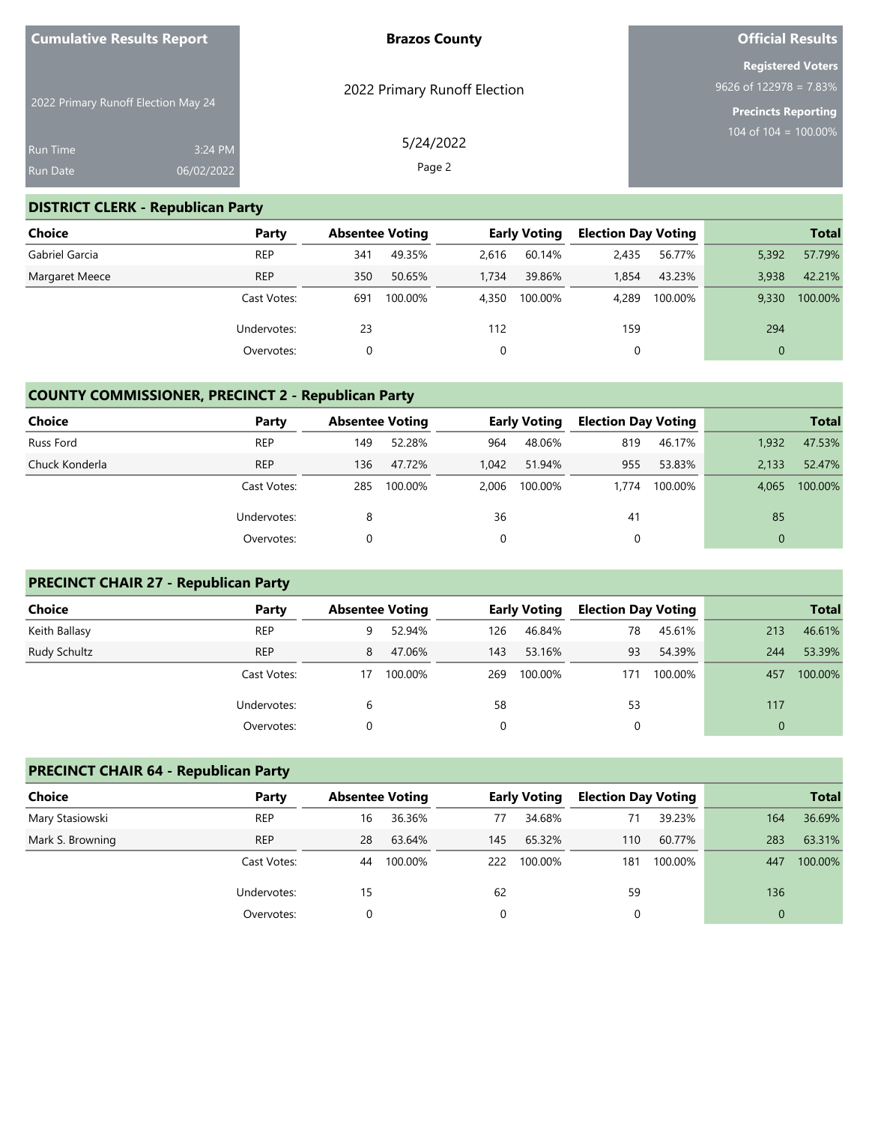| <b>Cumulative Results Report</b> |                                     | <b>Brazos County</b>         | <b>Official Results</b>     |
|----------------------------------|-------------------------------------|------------------------------|-----------------------------|
|                                  |                                     |                              | <b>Registered Voters</b>    |
|                                  |                                     | 2022 Primary Runoff Election | $9626$ of $122978 = 7.83\%$ |
|                                  | 2022 Primary Runoff Election May 24 |                              | <b>Precincts Reporting</b>  |
|                                  |                                     | 5/24/2022                    | 104 of 104 = $100.00\%$     |
| <b>Run Time</b>                  | 3:24 PM                             |                              |                             |
| <b>Run Date</b>                  | 06/02/2022                          | Page 2                       |                             |

## **DISTRICT CLERK - Republican Party**

| Choice         | Party       | <b>Absentee Voting</b> |         |       | <b>Early Voting</b> | <b>Election Day Voting</b> |         |          | <b>Total</b> |
|----------------|-------------|------------------------|---------|-------|---------------------|----------------------------|---------|----------|--------------|
| Gabriel Garcia | <b>REP</b>  | 341                    | 49.35%  | 2.616 | 60.14%              | 2.435                      | 56.77%  | 5,392    | 57.79%       |
| Margaret Meece | <b>REP</b>  | 350                    | 50.65%  | 1.734 | 39.86%              | 1.854                      | 43.23%  | 3.938    | 42.21%       |
|                | Cast Votes: | 691                    | 100.00% | 4.350 | 100.00%             | 4.289                      | 100.00% | 9.330    | 100.00%      |
|                | Undervotes: | 23                     |         | 112   |                     | 159                        |         | 294      |              |
|                | Overvotes:  |                        |         |       |                     | 0                          |         | $\Omega$ |              |

# **COUNTY COMMISSIONER, PRECINCT 2 - Republican Party**

| <b>Choice</b>  | Party       | <b>Absentee Voting</b> |         |       | <b>Early Voting</b> | <b>Election Day Voting</b> |         |          | <b>Total</b> |
|----------------|-------------|------------------------|---------|-------|---------------------|----------------------------|---------|----------|--------------|
| Russ Ford      | <b>REP</b>  | 149                    | 52.28%  | 964   | 48.06%              | 819                        | 46.17%  | 1.932    | 47.53%       |
| Chuck Konderla | <b>REP</b>  | 136                    | 47.72%  | 1.042 | 51.94%              | 955                        | 53.83%  | 2.133    | 52.47%       |
|                | Cast Votes: | 285                    | 100.00% | 2.006 | 100.00%             | 1.774                      | 100.00% | 4.065    | 100.00%      |
|                | Undervotes: | 8                      |         | 36    |                     | 41                         |         | 85       |              |
|                | Overvotes:  |                        |         | 0     |                     | 0                          |         | $\Omega$ |              |

## **PRECINCT CHAIR 27 - Republican Party**

| Choice        | Party       | <b>Absentee Voting</b> |         |     | <b>Early Voting</b> | <b>Election Day Voting</b> |         |          | <b>Total</b> |
|---------------|-------------|------------------------|---------|-----|---------------------|----------------------------|---------|----------|--------------|
| Keith Ballasy | <b>REP</b>  | 9                      | 52.94%  | 126 | 46.84%              | 78                         | 45.61%  | 213      | 46.61%       |
| Rudy Schultz  | <b>REP</b>  | 8                      | 47.06%  | 143 | 53.16%              | 93                         | 54.39%  | 244      | 53.39%       |
|               | Cast Votes: | 17                     | 100.00% | 269 | 100.00%             | 171                        | 100.00% | 457      | 100.00%      |
|               | Undervotes: | 6                      |         | 58  |                     | 53                         |         | 117      |              |
|               | Overvotes:  |                        |         | 0   |                     |                            |         | $\Omega$ |              |

## **PRECINCT CHAIR 64 - Republican Party**

| <b>Choice</b>    | Party       | <b>Absentee Voting</b> |         |     | <b>Early Voting</b> | <b>Election Day Voting</b> |         |          | <b>Total</b> |
|------------------|-------------|------------------------|---------|-----|---------------------|----------------------------|---------|----------|--------------|
| Mary Stasiowski  | <b>REP</b>  | 16                     | 36.36%  | 77  | 34.68%              | 71                         | 39.23%  | 164      | 36.69%       |
| Mark S. Browning | <b>REP</b>  | 28                     | 63.64%  | 145 | 65.32%              | 110                        | 60.77%  | 283      | 63.31%       |
|                  | Cast Votes: | 44                     | 100.00% | 222 | 100.00%             | 181                        | 100.00% | 447      | 100.00%      |
|                  | Undervotes: | 15                     |         | 62  |                     | 59                         |         | 136      |              |
|                  | Overvotes:  |                        |         | 0   |                     |                            |         | $\Omega$ |              |